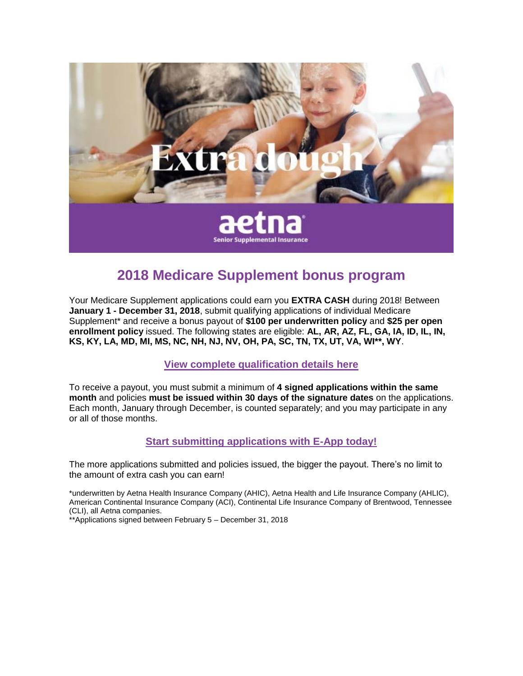

## **2018 Medicare Supplement bonus program**

Your Medicare Supplement applications could earn you **EXTRA CASH** during 2018! Between **January 1 - December 31, 2018**, submit qualifying applications of individual Medicare Supplement\* and receive a bonus payout of **\$100 per underwritten policy** and **\$25 per open enrollment policy** issued. The following states are eligible: **AL, AR, AZ, FL, GA, IA, ID, IL, IN, KS, KY, LA, MD, MI, MS, NC, NH, NJ, NV, OH, PA, SC, TN, TX, UT, VA, WI\*\*, WY**.

**[View complete qualification details here](http://links.aetnacliacimedsupply.mkt4393.com/ctt?kn=1&ms=MTg3ODI2NTMS1&r=MzUwMjU0MTEwNDI3S0&b=0&j=MTE4MDMzMTI2NwS2&mt=1&rt=0)**

To receive a payout, you must submit a minimum of **4 signed applications within the same month** and policies **must be issued within 30 days of the signature dates** on the applications. Each month, January through December, is counted separately; and you may participate in any or all of those months.

## **[Start submitting applications with E-App today!](http://links.aetnacliacimedsupply.mkt4393.com/ctt?kn=3&ms=MTg3ODI2NTMS1&r=MzUwMjU0MTEwNDI3S0&b=0&j=MTE4MDMzMTI2NwS2&mt=1&rt=0)**

The more applications submitted and policies issued, the bigger the payout. There's no limit to the amount of extra cash you can earn!

\*underwritten by Aetna Health Insurance Company (AHIC), Aetna Health and Life Insurance Company (AHLIC), American Continental Insurance Company (ACI), Continental Life Insurance Company of Brentwood, Tennessee (CLI), all Aetna companies.

\*\*Applications signed between February 5 – December 31, 2018